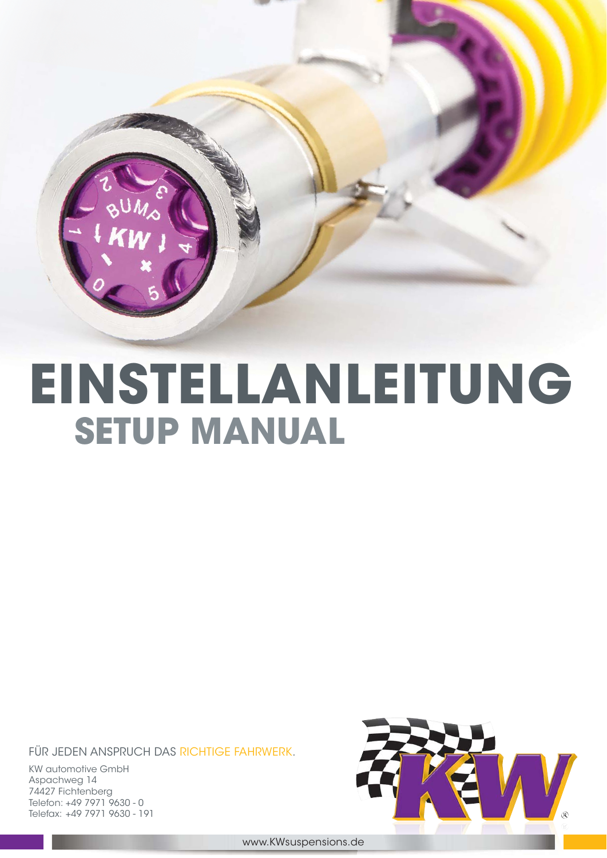

# **EINSTELLANLEITUNG SETUP MANUAL**

FÜR JEDEN ANSPRUCH DAS RICHTIGE FAHRWERK.

KW automotive GmbH Aspachweg 14 74427 Fichtenberg Telefon: +49 7971 9630 - 0 Telefax: +49 7971 9630 - 191



www.KWsuspensions.de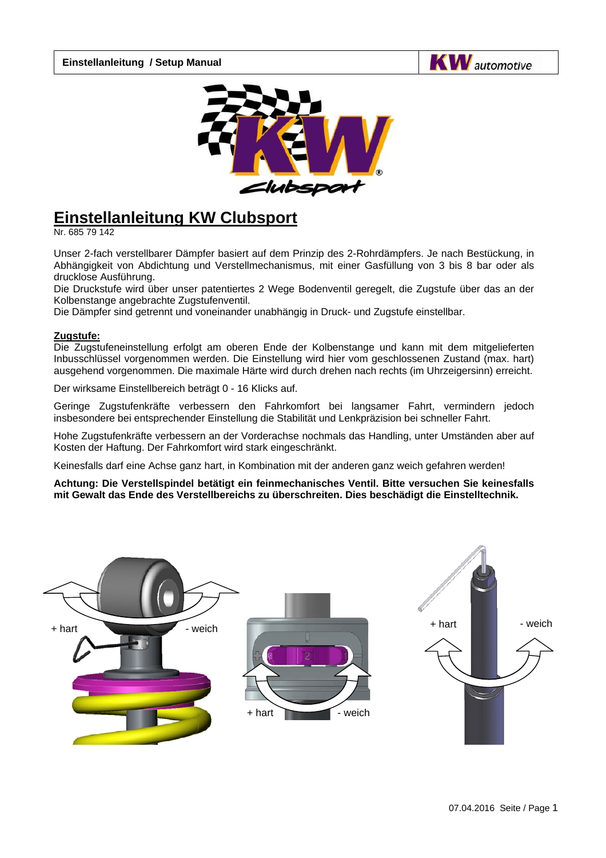



# **Einstellanleitung KW Clubsport**

Nr. 685 79 142

Unser 2-fach verstellbarer Dämpfer basiert auf dem Prinzip des 2-Rohrdämpfers. Je nach Bestückung, in Abhängigkeit von Abdichtung und Verstellmechanismus, mit einer Gasfüllung von 3 bis 8 bar oder als drucklose Ausführung.

Die Druckstufe wird über unser patentiertes 2 Wege Bodenventil geregelt, die Zugstufe über das an der Kolbenstange angebrachte Zugstufenventil.

Die Dämpfer sind getrennt und voneinander unabhängig in Druck- und Zugstufe einstellbar.

## **Zugstufe:**

Die Zugstufeneinstellung erfolgt am oberen Ende der Kolbenstange und kann mit dem mitgelieferten Inbusschlüssel vorgenommen werden. Die Einstellung wird hier vom geschlossenen Zustand (max. hart) ausgehend vorgenommen. Die maximale Härte wird durch drehen nach rechts (im Uhrzeigersinn) erreicht.

Der wirksame Einstellbereich beträgt 0 - 16 Klicks auf.

Geringe Zugstufenkräfte verbessern den Fahrkomfort bei langsamer Fahrt, vermindern jedoch insbesondere bei entsprechender Einstellung die Stabilität und Lenkpräzision bei schneller Fahrt.

Hohe Zugstufenkräfte verbessern an der Vorderachse nochmals das Handling, unter Umständen aber auf Kosten der Haftung. Der Fahrkomfort wird stark eingeschränkt.

Keinesfalls darf eine Achse ganz hart, in Kombination mit der anderen ganz weich gefahren werden!

**Achtung: Die Verstellspindel betätigt ein feinmechanisches Ventil. Bitte versuchen Sie keinesfalls mit Gewalt das Ende des Verstellbereichs zu überschreiten. Dies beschädigt die Einstelltechnik.** 

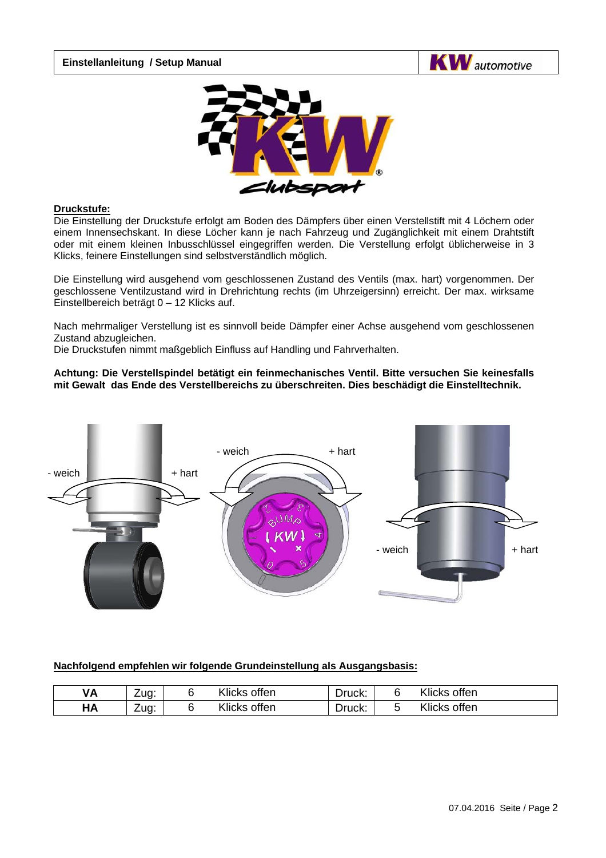



#### **Druckstufe:**

Die Einstellung der Druckstufe erfolgt am Boden des Dämpfers über einen Verstellstift mit 4 Löchern oder einem Innensechskant. In diese Löcher kann je nach Fahrzeug und Zugänglichkeit mit einem Drahtstift oder mit einem kleinen Inbusschlüssel eingegriffen werden. Die Verstellung erfolgt üblicherweise in 3 Klicks, feinere Einstellungen sind selbstverständlich möglich.

Die Einstellung wird ausgehend vom geschlossenen Zustand des Ventils (max. hart) vorgenommen. Der geschlossene Ventilzustand wird in Drehrichtung rechts (im Uhrzeigersinn) erreicht. Der max. wirksame Einstellbereich beträgt 0 – 12 Klicks auf.

Nach mehrmaliger Verstellung ist es sinnvoll beide Dämpfer einer Achse ausgehend vom geschlossenen Zustand abzugleichen.

Die Druckstufen nimmt maßgeblich Einfluss auf Handling und Fahrverhalten.

**Achtung: Die Verstellspindel betätigt ein feinmechanisches Ventil. Bitte versuchen Sie keinesfalls mit Gewalt das Ende des Verstellbereichs zu überschreiten. Dies beschädigt die Einstelltechnik.** 



# **Nachfolgend empfehlen wir folgende Grundeinstellung als Ausgangsbasis:**

| ٧A | -<br>∠uɑ: | Klicks offen | Druck: | Klicks offen |
|----|-----------|--------------|--------|--------------|
| HА | –<br>Zug: | Klicks offen | Druck: | Klicks offen |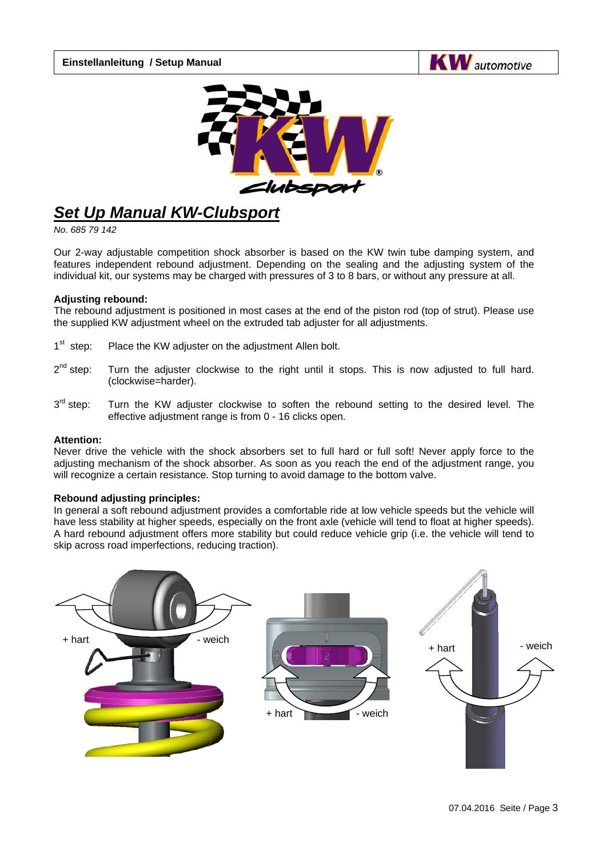



# *Set Up Manual KW-Clubsport*

*No. 685 79 142* 

Our 2-way adjustable competition shock absorber is based on the KW twin tube damping system, and features independent rebound adjustment. Depending on the sealing and the adjusting system of the individual kit, our systems may be charged with pressures of 3 to 8 bars, or without any pressure at all.

#### **Adjusting rebound:**

The rebound adjustment is positioned in most cases at the end of the piston rod (top of strut). Please use the supplied KW adjustment wheel on the extruded tab adjuster for all adjustments.

- 1<sup>st</sup> step: Place the KW adjuster on the adjustment Allen bolt.
- $2^{nd}$  step: Turn the adjuster clockwise to the right until it stops. This is now adjusted to full hard. (clockwise=harder).
- 3<sup>rd</sup> step: Turn the KW adjuster clockwise to soften the rebound setting to the desired level. The effective adjustment range is from 0 - 16 clicks open.

#### **Attention:**

Never drive the vehicle with the shock absorbers set to full hard or full soft! Never apply force to the adjusting mechanism of the shock absorber. As soon as you reach the end of the adjustment range, you will recognize a certain resistance. Stop turning to avoid damage to the bottom valve.

#### **Rebound adjusting principles:**

In general a soft rebound adjustment provides a comfortable ride at low vehicle speeds but the vehicle will have less stability at higher speeds, especially on the front axle (vehicle will tend to float at higher speeds). A hard rebound adjustment offers more stability but could reduce vehicle grip (i.e. the vehicle will tend to skip across road imperfections, reducing traction).